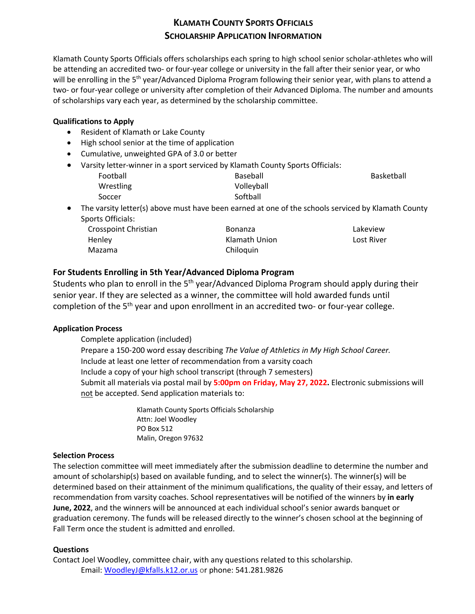# **KLAMATH COUNTY SPORTS OFFICIALS SCHOLARSHIP APPLICATION INFORMATION**

Klamath County Sports Officials offers scholarships each spring to high school senior scholar-athletes who will be attending an accredited two- or four-year college or university in the fall after their senior year, or who will be enrolling in the 5<sup>th</sup> year/Advanced Diploma Program following their senior year, with plans to attend a two- or four-year college or university after completion of their Advanced Diploma. The number and amounts of scholarships vary each year, as determined by the scholarship committee.

#### **Qualifications to Apply**

- Resident of Klamath or Lake County
- High school senior at the time of application
- Cumulative, unweighted GPA of 3.0 or better
- Varsity letter-winner in a sport serviced by Klamath County Sports Officials:
	- Football Wrestling Soccer

Baseball Volleyball Softball

Basketball

• The varsity letter(s) above must have been earned at one of the schools serviced by Klamath County Sports Officials:

Crosspoint Christian Henley Mazama

Bonanza Klamath Union Chiloquin

Lakeview Lost River

## **For Students Enrolling in 5th Year/Advanced Diploma Program**

Students who plan to enroll in the 5<sup>th</sup> year/Advanced Diploma Program should apply during their senior year. If they are selected as a winner, the committee will hold awarded funds until completion of the 5<sup>th</sup> year and upon enrollment in an accredited two- or four-year college.

## **Application Process**

Complete application (included)

 Prepare a 150-200 word essay describing *The Value of Athletics in My High School Career.* Include at least one letter of recommendation from a varsity coach Include a copy of your high school transcript (through 7 semesters) Submit all materials via postal mail by **5:00pm on Friday, May 27, 2022.** Electronic submissions will not be accepted. Send application materials to:

> Klamath County Sports Officials Scholarship Attn: Joel Woodley PO Box 512 Malin, Oregon 97632

#### **Selection Process**

The selection committee will meet immediately after the submission deadline to determine the number and amount of scholarship(s) based on available funding, and to select the winner(s). The winner(s) will be determined based on their attainment of the minimum qualifications, the quality of their essay, and letters of recommendation from varsity coaches. School representatives will be notified of the winners by **in early June, 2022**, and the winners will be announced at each individual school's senior awards banquet or graduation ceremony. The funds will be released directly to the winner's chosen school at the beginning of Fall Term once the student is admitted and enrolled.

## **Questions**

Contact Joel Woodley, committee chair, with any questions related to this scholarship. Email: WoodleyJ@kfalls.k12.or.us or phone: 541.281.9826